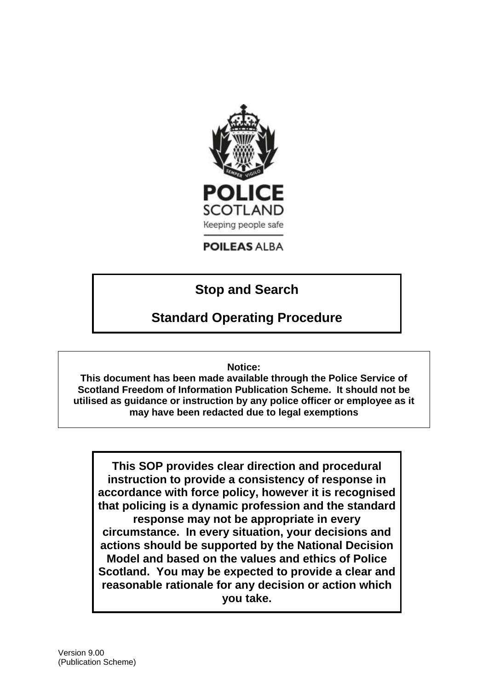

## **POILEAS ALBA**

# **Stop and Search**

# **Standard Operating Procedure**

### **Notice:**

**This document has been made available through the Police Service of Scotland Freedom of Information Publication Scheme. It should not be utilised as guidance or instruction by any police officer or employee as it may have been redacted due to legal exemptions**

**This SOP provides clear direction and procedural instruction to provide a consistency of response in accordance with force policy, however it is recognised that policing is a dynamic profession and the standard response may not be appropriate in every circumstance. In every situation, your decisions and actions should be supported by the National Decision Model and based on the values and ethics of Police Scotland. You may be expected to provide a clear and reasonable rationale for any decision or action which you take.**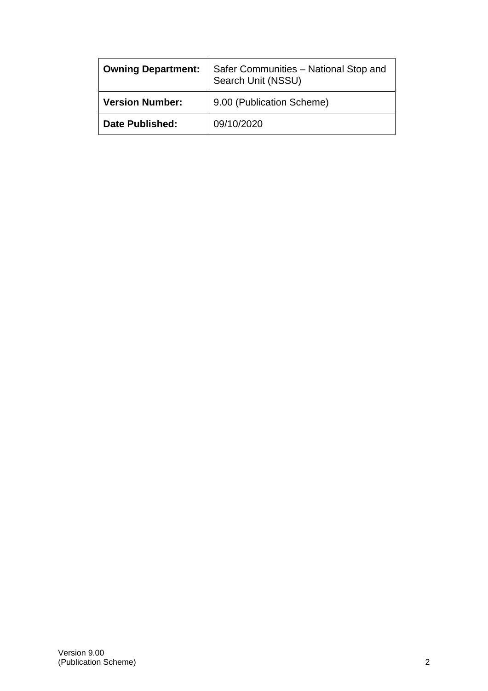| <b>Owning Department:</b> | Safer Communities - National Stop and<br>Search Unit (NSSU) |
|---------------------------|-------------------------------------------------------------|
| <b>Version Number:</b>    | 9.00 (Publication Scheme)                                   |
| <b>Date Published:</b>    | 09/10/2020                                                  |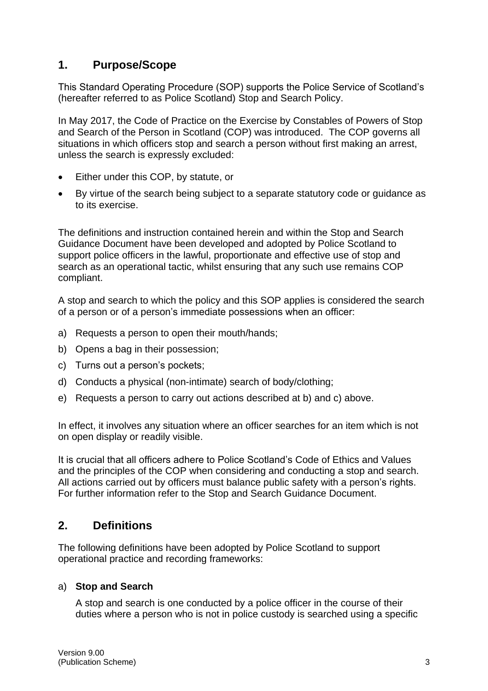# **1. Purpose/Scope**

This Standard Operating Procedure (SOP) supports the Police Service of Scotland's (hereafter referred to as Police Scotland) Stop and Search Policy.

In May 2017, the Code of Practice on the Exercise by Constables of Powers of Stop and Search of the Person in Scotland (COP) was introduced. The COP governs all situations in which officers stop and search a person without first making an arrest, unless the search is expressly excluded:

- Either under this COP, by statute, or
- By virtue of the search being subject to a separate statutory code or guidance as to its exercise.

The definitions and instruction contained herein and within the Stop and Search Guidance Document have been developed and adopted by Police Scotland to support police officers in the lawful, proportionate and effective use of stop and search as an operational tactic, whilst ensuring that any such use remains COP compliant.

A stop and search to which the policy and this SOP applies is considered the search of a person or of a person's immediate possessions when an officer:

- a) Requests a person to open their mouth/hands;
- b) Opens a bag in their possession;
- c) Turns out a person's pockets;
- d) Conducts a physical (non-intimate) search of body/clothing;
- e) Requests a person to carry out actions described at b) and c) above.

In effect, it involves any situation where an officer searches for an item which is not on open display or readily visible.

It is crucial that all officers adhere to Police Scotland's Code of Ethics and Values and the principles of the COP when considering and conducting a stop and search. All actions carried out by officers must balance public safety with a person's rights. For further information refer to the Stop and Search Guidance Document.

## **2. Definitions**

The following definitions have been adopted by Police Scotland to support operational practice and recording frameworks:

### a) **Stop and Search**

A stop and search is one conducted by a police officer in the course of their duties where a person who is not in police custody is searched using a specific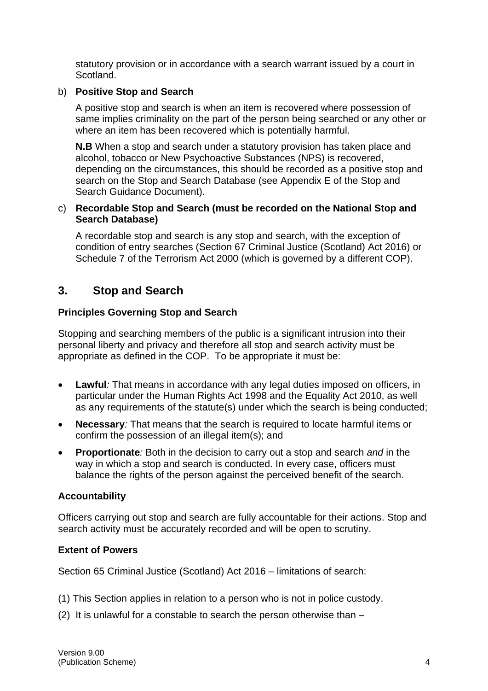statutory provision or in accordance with a search warrant issued by a court in Scotland.

#### b) **Positive Stop and Search**

A positive stop and search is when an item is recovered where possession of same implies criminality on the part of the person being searched or any other or where an item has been recovered which is potentially harmful.

**N.B** When a stop and search under a statutory provision has taken place and alcohol, tobacco or New Psychoactive Substances (NPS) is recovered, depending on the circumstances, this should be recorded as a positive stop and search on the Stop and Search Database (see Appendix E of the Stop and Search Guidance Document).

#### c) **Recordable Stop and Search (must be recorded on the National Stop and Search Database)**

A recordable stop and search is any stop and search, with the exception of condition of entry searches (Section 67 Criminal Justice (Scotland) Act 2016) or Schedule 7 of the Terrorism Act 2000 (which is governed by a different COP).

## **3. Stop and Search**

### **Principles Governing Stop and Search**

Stopping and searching members of the public is a significant intrusion into their personal liberty and privacy and therefore all stop and search activity must be appropriate as defined in the COP. To be appropriate it must be:

- **Lawful***:* That means in accordance with any legal duties imposed on officers, in particular under the Human Rights Act 1998 and the Equality Act 2010, as well as any requirements of the statute(s) under which the search is being conducted;
- **Necessary***:* That means that the search is required to locate harmful items or confirm the possession of an illegal item(s); and
- **Proportionate***:* Both in the decision to carry out a stop and search *and* in the way in which a stop and search is conducted. In every case, officers must balance the rights of the person against the perceived benefit of the search.

#### **Accountability**

Officers carrying out stop and search are fully accountable for their actions. Stop and search activity must be accurately recorded and will be open to scrutiny.

### **Extent of Powers**

Section 65 Criminal Justice (Scotland) Act 2016 – limitations of search:

- (1) This Section applies in relation to a person who is not in police custody.
- (2) It is unlawful for a constable to search the person otherwise than –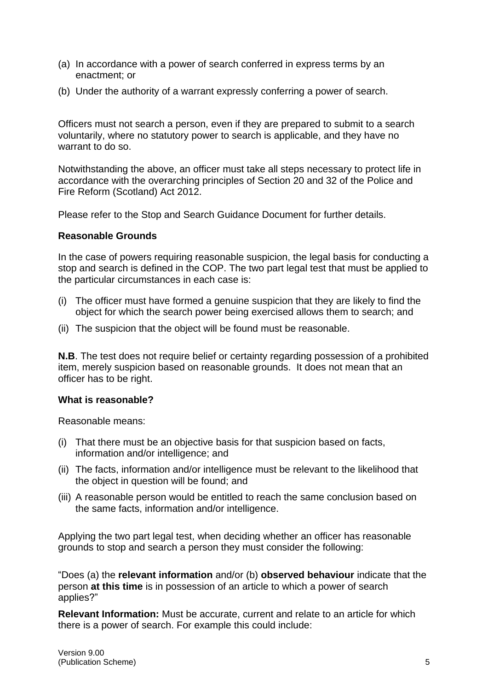- (a) In accordance with a power of search conferred in express terms by an enactment; or
- (b) Under the authority of a warrant expressly conferring a power of search.

Officers must not search a person, even if they are prepared to submit to a search voluntarily, where no statutory power to search is applicable, and they have no warrant to do so.

Notwithstanding the above, an officer must take all steps necessary to protect life in accordance with the overarching principles of Section 20 and 32 of the Police and Fire Reform (Scotland) Act 2012.

Please refer to the Stop and Search Guidance Document for further details.

#### **Reasonable Grounds**

In the case of powers requiring reasonable suspicion, the legal basis for conducting a stop and search is defined in the COP. The two part legal test that must be applied to the particular circumstances in each case is:

- (i) The officer must have formed a genuine suspicion that they are likely to find the object for which the search power being exercised allows them to search; and
- (ii) The suspicion that the object will be found must be reasonable.

**N.B**. The test does not require belief or certainty regarding possession of a prohibited item, merely suspicion based on reasonable grounds. It does not mean that an officer has to be right.

### **What is reasonable?**

Reasonable means:

- (i) That there must be an objective basis for that suspicion based on facts, information and/or intelligence; and
- (ii) The facts, information and/or intelligence must be relevant to the likelihood that the object in question will be found; and
- (iii) A reasonable person would be entitled to reach the same conclusion based on the same facts, information and/or intelligence.

Applying the two part legal test, when deciding whether an officer has reasonable grounds to stop and search a person they must consider the following:

"Does (a) the **relevant information** and/or (b) **observed behaviour** indicate that the person **at this time** is in possession of an article to which a power of search applies?"

**Relevant Information:** Must be accurate, current and relate to an article for which there is a power of search. For example this could include: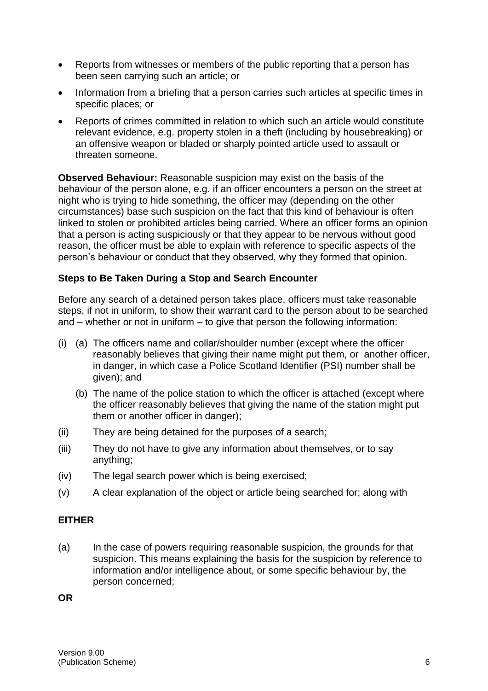- Reports from witnesses or members of the public reporting that a person has been seen carrying such an article; or
- Information from a briefing that a person carries such articles at specific times in specific places; or
- Reports of crimes committed in relation to which such an article would constitute relevant evidence, e.g. property stolen in a theft (including by housebreaking) or an offensive weapon or bladed or sharply pointed article used to assault or threaten someone.

**Observed Behaviour:** Reasonable suspicion may exist on the basis of the behaviour of the person alone, e.g. if an officer encounters a person on the street at night who is trying to hide something, the officer may (depending on the other circumstances) base such suspicion on the fact that this kind of behaviour is often linked to stolen or prohibited articles being carried. Where an officer forms an opinion that a person is acting suspiciously or that they appear to be nervous without good reason, the officer must be able to explain with reference to specific aspects of the person's behaviour or conduct that they observed, why they formed that opinion.

#### **Steps to Be Taken During a Stop and Search Encounter**

Before any search of a detained person takes place, officers must take reasonable steps, if not in uniform, to show their warrant card to the person about to be searched and – whether or not in uniform – to give that person the following information:

- (i) (a) The officers name and collar/shoulder number (except where the officer reasonably believes that giving their name might put them, or another officer, in danger, in which case a Police Scotland Identifier (PSI) number shall be given); and
	- (b) The name of the police station to which the officer is attached (except where the officer reasonably believes that giving the name of the station might put them or another officer in danger);
- (ii) They are being detained for the purposes of a search;
- (iii) They do not have to give any information about themselves, or to say anything;
- (iv) The legal search power which is being exercised;
- (v) A clear explanation of the object or article being searched for; along with

#### **EITHER**

(a) In the case of powers requiring reasonable suspicion, the grounds for that suspicion. This means explaining the basis for the suspicion by reference to information and/or intelligence about, or some specific behaviour by, the person concerned;

**OR**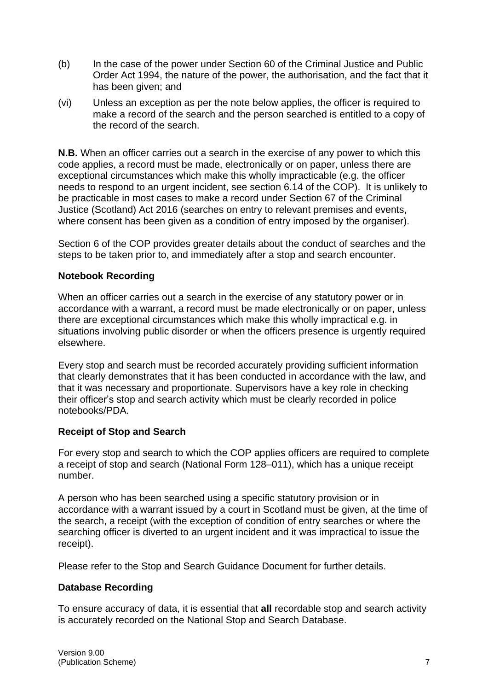- (b) In the case of the power under Section 60 of the Criminal Justice and Public Order Act 1994, the nature of the power, the authorisation, and the fact that it has been given; and
- (vi) Unless an exception as per the note below applies, the officer is required to make a record of the search and the person searched is entitled to a copy of the record of the search.

**N.B.** When an officer carries out a search in the exercise of any power to which this code applies, a record must be made, electronically or on paper, unless there are exceptional circumstances which make this wholly impracticable (e.g. the officer needs to respond to an urgent incident, see section 6.14 of the COP). It is unlikely to be practicable in most cases to make a record under Section 67 of the Criminal Justice (Scotland) Act 2016 (searches on entry to relevant premises and events, where consent has been given as a condition of entry imposed by the organiser).

Section 6 of the COP provides greater details about the conduct of searches and the steps to be taken prior to, and immediately after a stop and search encounter.

### **Notebook Recording**

When an officer carries out a search in the exercise of any statutory power or in accordance with a warrant, a record must be made electronically or on paper, unless there are exceptional circumstances which make this wholly impractical e.g. in situations involving public disorder or when the officers presence is urgently required elsewhere.

Every stop and search must be recorded accurately providing sufficient information that clearly demonstrates that it has been conducted in accordance with the law, and that it was necessary and proportionate. Supervisors have a key role in checking their officer's stop and search activity which must be clearly recorded in police notebooks/PDA.

### **Receipt of Stop and Search**

For every stop and search to which the COP applies officers are required to complete a receipt of stop and search (National Form 128–011), which has a unique receipt number.

A person who has been searched using a specific statutory provision or in accordance with a warrant issued by a court in Scotland must be given, at the time of the search, a receipt (with the exception of condition of entry searches or where the searching officer is diverted to an urgent incident and it was impractical to issue the receipt).

Please refer to the Stop and Search Guidance Document for further details.

### **Database Recording**

To ensure accuracy of data, it is essential that **all** recordable stop and search activity is accurately recorded on the National Stop and Search Database.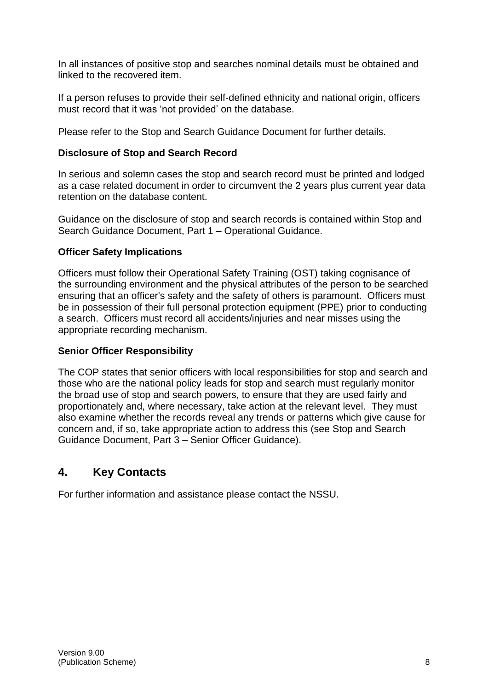In all instances of positive stop and searches nominal details must be obtained and linked to the recovered item.

If a person refuses to provide their self-defined ethnicity and national origin, officers must record that it was 'not provided' on the database.

Please refer to the Stop and Search Guidance Document for further details.

## **Disclosure of Stop and Search Record**

In serious and solemn cases the stop and search record must be printed and lodged as a case related document in order to circumvent the 2 years plus current year data retention on the database content.

Guidance on the disclosure of stop and search records is contained within Stop and Search Guidance Document, Part 1 – Operational Guidance.

### **Officer Safety Implications**

Officers must follow their Operational Safety Training (OST) taking cognisance of the surrounding environment and the physical attributes of the person to be searched ensuring that an officer's safety and the safety of others is paramount. Officers must be in possession of their full personal protection equipment (PPE) prior to conducting a search. Officers must record all accidents/injuries and near misses using the appropriate recording mechanism.

### **Senior Officer Responsibility**

The COP states that senior officers with local responsibilities for stop and search and those who are the national policy leads for stop and search must regularly monitor the broad use of stop and search powers, to ensure that they are used fairly and proportionately and, where necessary, take action at the relevant level. They must also examine whether the records reveal any trends or patterns which give cause for concern and, if so, take appropriate action to address this (see Stop and Search Guidance Document, Part 3 – Senior Officer Guidance).

# **4. Key Contacts**

For further information and assistance please contact the NSSU.